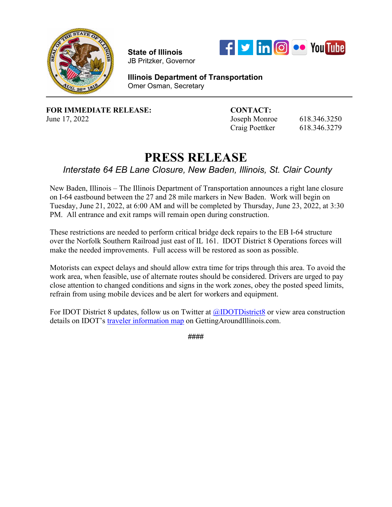

**State of Illinois**  JB Pritzker, Governor



**Illinois Department of Transportation** Omer Osman, Secretary

**FOR IMMEDIATE RELEASE: CONTACT:**

June 17, 2022 Joseph Monroe 618.346.3250 Craig Poettker 618.346.3279

## **PRESS RELEASE**

*Interstate 64 EB Lane Closure, New Baden, Illinois, St. Clair County*

New Baden, Illinois – The Illinois Department of Transportation announces a right lane closure on I-64 eastbound between the 27 and 28 mile markers in New Baden. Work will begin on Tuesday, June 21, 2022, at 6:00 AM and will be completed by Thursday, June 23, 2022, at 3:30 PM. All entrance and exit ramps will remain open during construction.

These restrictions are needed to perform critical bridge deck repairs to the EB I-64 structure over the Norfolk Southern Railroad just east of IL 161. IDOT District 8 Operations forces will make the needed improvements. Full access will be restored as soon as possible.

 Motorists can expect delays and should allow extra time for trips through this area. To avoid the work area, when feasible, use of alternate routes should be considered. Drivers are urged to pay close attention to changed conditions and signs in the work zones, obey the posted speed limits, refrain from using mobile devices and be alert for workers and equipment.

For IDOT District 8 updates, follow us on Twitter at [@IDOTDistrict8](https://twitter.com/idotdistrict8) or view area construction details on IDOT's [traveler information map](https://www.gettingaroundillinois.com/TravelerInfo/index.html) on GettingAroundIllinois.com.

####